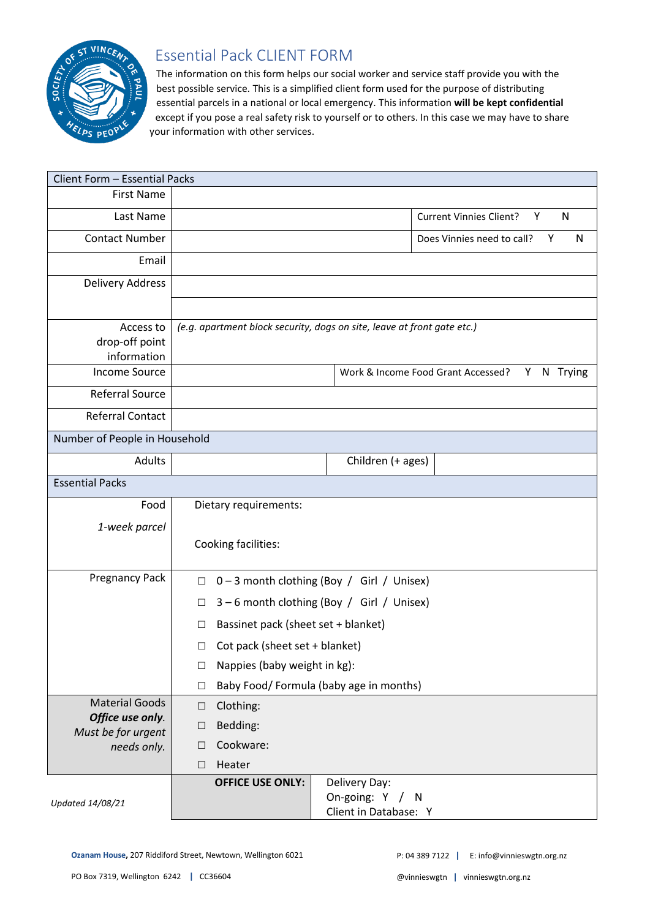

## Essential Pack CLIENT FORM

The information on this form helps our social worker and service staff provide you with the best possible service. This is a simplified client form used for the purpose of distributing essential parcels in a national or local emergency. This information **will be kept confidential** except if you pose a real safety risk to yourself or to others. In this case we may have to share your information with other services.

| Client Form - Essential Packs              |                                                                         |                                                     |                                                           |                                                     |  |
|--------------------------------------------|-------------------------------------------------------------------------|-----------------------------------------------------|-----------------------------------------------------------|-----------------------------------------------------|--|
| <b>First Name</b>                          |                                                                         |                                                     |                                                           |                                                     |  |
| Last Name                                  |                                                                         |                                                     |                                                           | $\mathsf{N}$<br><b>Current Vinnies Client?</b><br>Y |  |
| <b>Contact Number</b>                      |                                                                         |                                                     |                                                           | N<br>Does Vinnies need to call?<br>Υ                |  |
| Email                                      |                                                                         |                                                     |                                                           |                                                     |  |
| <b>Delivery Address</b>                    |                                                                         |                                                     |                                                           |                                                     |  |
|                                            |                                                                         |                                                     |                                                           |                                                     |  |
| Access to<br>drop-off point<br>information | (e.g. apartment block security, dogs on site, leave at front gate etc.) |                                                     |                                                           |                                                     |  |
| <b>Income Source</b>                       |                                                                         | Work & Income Food Grant Accessed?<br>N Trying<br>Y |                                                           |                                                     |  |
| <b>Referral Source</b>                     |                                                                         |                                                     |                                                           |                                                     |  |
| <b>Referral Contact</b>                    |                                                                         |                                                     |                                                           |                                                     |  |
| Number of People in Household              |                                                                         |                                                     |                                                           |                                                     |  |
| <b>Adults</b>                              |                                                                         |                                                     | Children (+ ages)                                         |                                                     |  |
| <b>Essential Packs</b>                     |                                                                         |                                                     |                                                           |                                                     |  |
| Food                                       | Dietary requirements:                                                   |                                                     |                                                           |                                                     |  |
| 1-week parcel                              |                                                                         |                                                     |                                                           |                                                     |  |
|                                            | Cooking facilities:                                                     |                                                     |                                                           |                                                     |  |
| <b>Pregnancy Pack</b>                      | 0-3 month clothing (Boy / Girl / Unisex)<br>$\Box$                      |                                                     |                                                           |                                                     |  |
|                                            | 3-6 month clothing (Boy / Girl / Unisex)<br>□                           |                                                     |                                                           |                                                     |  |
|                                            | Bassinet pack (sheet set + blanket)<br>□                                |                                                     |                                                           |                                                     |  |
|                                            | Cot pack (sheet set + blanket)<br>□                                     |                                                     |                                                           |                                                     |  |
|                                            | Nappies (baby weight in kg):<br>$\Box$                                  |                                                     |                                                           |                                                     |  |
|                                            | $\Box$                                                                  | Baby Food/ Formula (baby age in months)             |                                                           |                                                     |  |
| <b>Material Goods</b>                      | $\Box$                                                                  | Clothing:                                           |                                                           |                                                     |  |
| Office use only.<br>Must be for urgent     | Bedding:<br>$\Box$                                                      |                                                     |                                                           |                                                     |  |
| needs only.                                | Cookware:<br>$\Box$                                                     |                                                     |                                                           |                                                     |  |
|                                            | □                                                                       | Heater                                              |                                                           |                                                     |  |
| Updated 14/08/21                           |                                                                         | <b>OFFICE USE ONLY:</b>                             | Delivery Day:<br>On-going: Y / N<br>Client in Database: Y |                                                     |  |